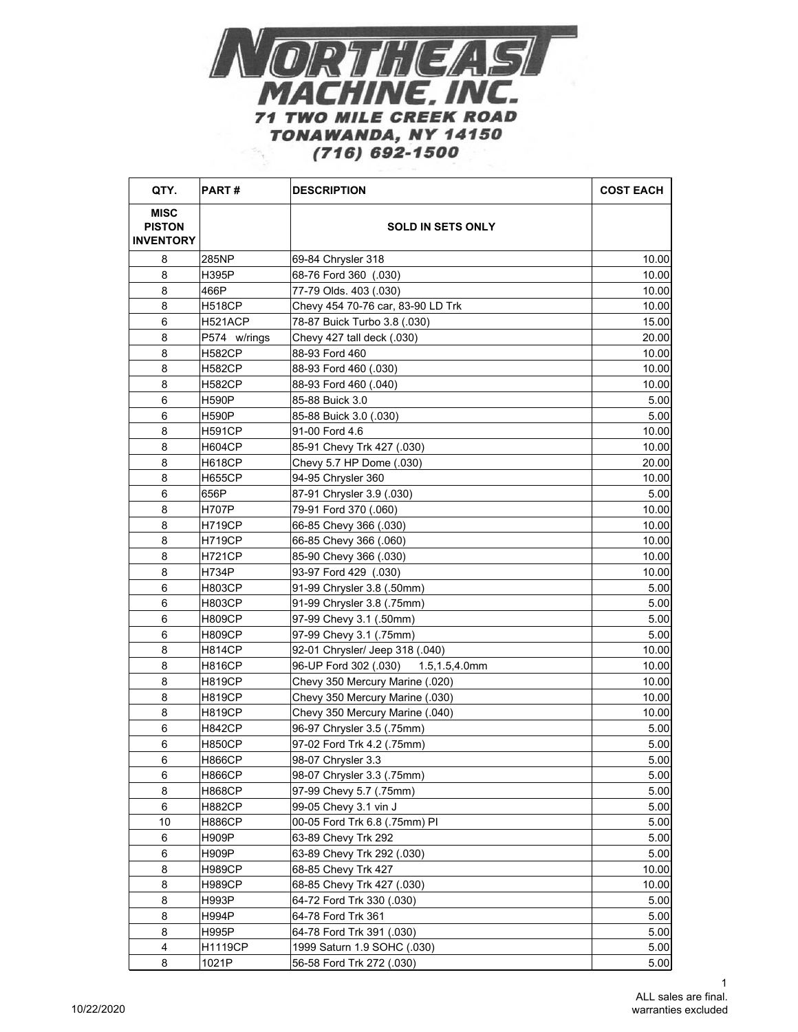

| QTY.                                             | <b>PART#</b>   | <b>DESCRIPTION</b>                  | <b>COST EACH</b> |
|--------------------------------------------------|----------------|-------------------------------------|------------------|
| <b>MISC</b><br><b>PISTON</b><br><b>INVENTORY</b> |                | <b>SOLD IN SETS ONLY</b>            |                  |
| 8                                                | 285NP          | 69-84 Chrysler 318                  | 10.00            |
| 8                                                | H395P          | 68-76 Ford 360 (.030)               | 10.00            |
| 8                                                | 466P           | 77-79 Olds. 403 (.030)              | 10.00            |
| 8                                                | <b>H518CP</b>  | Chevy 454 70-76 car, 83-90 LD Trk   | 10.00            |
| 6                                                | H521ACP        | 78-87 Buick Turbo 3.8 (.030)        | 15.00            |
| 8                                                | P574 w/rings   | Chevy 427 tall deck (.030)          | 20.00            |
| 8                                                | <b>H582CP</b>  | 88-93 Ford 460                      | 10.00            |
| 8                                                | <b>H582CP</b>  | 88-93 Ford 460 (.030)               | 10.00            |
| 8                                                | <b>H582CP</b>  | 88-93 Ford 460 (.040)               | 10.00            |
| 6                                                | <b>H590P</b>   | 85-88 Buick 3.0                     | 5.00             |
| 6                                                | <b>H590P</b>   | 85-88 Buick 3.0 (.030)              | 5.00             |
| 8                                                | <b>H591CP</b>  | 91-00 Ford 4.6                      | 10.00            |
| 8                                                | <b>H604CP</b>  | 85-91 Chevy Trk 427 (.030)          | 10.00            |
| 8                                                | <b>H618CP</b>  | Chevy 5.7 HP Dome (.030)            | 20.00            |
| 8                                                | <b>H655CP</b>  | 94-95 Chrysler 360                  | 10.00            |
| 6                                                | 656P           | 87-91 Chrysler 3.9 (.030)           | 5.00             |
| 8                                                | <b>H707P</b>   | 79-91 Ford 370 (.060)               | 10.00            |
|                                                  |                |                                     |                  |
| 8                                                | <b>H719CP</b>  | 66-85 Chevy 366 (.030)              | 10.00            |
| 8                                                | <b>H719CP</b>  | 66-85 Chevy 366 (.060)              | 10.00            |
| 8                                                | <b>H721CP</b>  | 85-90 Chevy 366 (.030)              | 10.00            |
| 8                                                | H734P          | 93-97 Ford 429 (.030)               | 10.00            |
| 6                                                | <b>H803CP</b>  | 91-99 Chrysler 3.8 (.50mm)          | 5.00             |
| 6                                                | <b>H803CP</b>  | 91-99 Chrysler 3.8 (.75mm)          | 5.00             |
| 6                                                | <b>H809CP</b>  | 97-99 Chevy 3.1 (.50mm)             | 5.00             |
| 6                                                | <b>H809CP</b>  | 97-99 Chevy 3.1 (.75mm)             | 5.00             |
| 8                                                | <b>H814CP</b>  | 92-01 Chrysler/ Jeep 318 (.040)     | 10.00            |
| 8                                                | <b>H816CP</b>  | 96-UP Ford 302 (.030) 1.5,1.5,4.0mm | 10.00            |
| 8                                                | <b>H819CP</b>  | Chevy 350 Mercury Marine (.020)     | 10.00            |
| 8                                                | <b>H819CP</b>  | Chevy 350 Mercury Marine (.030)     | 10.00            |
| 8                                                | <b>H819CP</b>  | Chevy 350 Mercury Marine (.040)     | 10.00            |
| 6                                                | <b>H842CP</b>  | 96-97 Chrysler 3.5 (.75mm)          | 5.00             |
| 6                                                | <b>H850CP</b>  | 97-02 Ford Trk 4.2 (.75mm)          | 5.00             |
| 6                                                | <b>H866CP</b>  | 98-07 Chrysler 3.3                  | 5.00             |
| 6                                                | <b>H866CP</b>  | 98-07 Chrysler 3.3 (.75mm)          | 5.00             |
| 8                                                | <b>H868CP</b>  | 97-99 Chevy 5.7 (.75mm)             | 5.00             |
| 6                                                | <b>H882CP</b>  | 99-05 Chevy 3.1 vin J               | 5.00             |
| 10                                               | <b>H886CP</b>  | 00-05 Ford Trk 6.8 (.75mm) PI       | 5.00             |
| 6                                                | H909P          | 63-89 Chevy Trk 292                 | 5.00             |
| 6                                                | H909P          | 63-89 Chevy Trk 292 (.030)          | 5.00             |
| 8                                                | <b>H989CP</b>  | 68-85 Chevy Trk 427                 | 10.00            |
| 8                                                | <b>H989CP</b>  | 68-85 Chevy Trk 427 (.030)          | 10.00            |
| 8                                                | H993P          | 64-72 Ford Trk 330 (.030)           | 5.00             |
| 8                                                | H994P          | 64-78 Ford Trk 361                  | 5.00             |
| 8                                                | H995P          | 64-78 Ford Trk 391 (.030)           | 5.00             |
| 4                                                | <b>H1119CP</b> | 1999 Saturn 1.9 SOHC (.030)         | 5.00             |
| 8                                                | 1021P          | 56-58 Ford Trk 272 (.030)           | 5.00             |